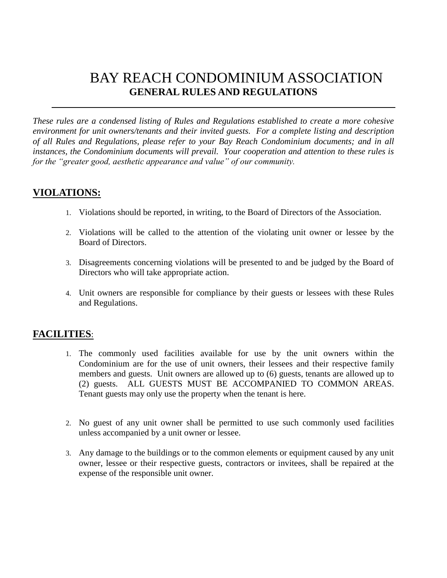# BAY REACH CONDOMINIUM ASSOCIATION **GENERAL RULES AND REGULATIONS**

*These rules are a condensed listing of Rules and Regulations established to create a more cohesive environment for unit owners/tenants and their invited guests. For a complete listing and description of all Rules and Regulations, please refer to your Bay Reach Condominium documents; and in all instances, the Condominium documents will prevail. Your cooperation and attention to these rules is for the "greater good, aesthetic appearance and value" of our community.* 

# **VIOLATIONS:**

- 1. Violations should be reported, in writing, to the Board of Directors of the Association.
- 2. Violations will be called to the attention of the violating unit owner or lessee by the Board of Directors.
- 3. Disagreements concerning violations will be presented to and be judged by the Board of Directors who will take appropriate action.
- 4. Unit owners are responsible for compliance by their guests or lessees with these Rules and Regulations.

# **FACILITIES**:

- 1. The commonly used facilities available for use by the unit owners within the Condominium are for the use of unit owners, their lessees and their respective family members and guests. Unit owners are allowed up to (6) guests, tenants are allowed up to (2) guests. ALL GUESTS MUST BE ACCOMPANIED TO COMMON AREAS. Tenant guests may only use the property when the tenant is here.
- 2. No guest of any unit owner shall be permitted to use such commonly used facilities unless accompanied by a unit owner or lessee.
- 3. Any damage to the buildings or to the common elements or equipment caused by any unit owner, lessee or their respective guests, contractors or invitees, shall be repaired at the expense of the responsible unit owner.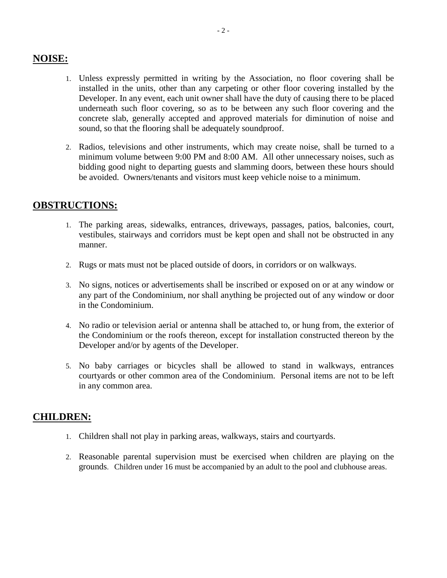## **NOISE:**

- 1. Unless expressly permitted in writing by the Association, no floor covering shall be installed in the units, other than any carpeting or other floor covering installed by the Developer. In any event, each unit owner shall have the duty of causing there to be placed underneath such floor covering, so as to be between any such floor covering and the concrete slab, generally accepted and approved materials for diminution of noise and sound, so that the flooring shall be adequately soundproof.
- 2. Radios, televisions and other instruments, which may create noise, shall be turned to a minimum volume between 9:00 PM and 8:00 AM. All other unnecessary noises, such as bidding good night to departing guests and slamming doors, between these hours should be avoided. Owners/tenants and visitors must keep vehicle noise to a minimum.

# **OBSTRUCTIONS:**

- 1. The parking areas, sidewalks, entrances, driveways, passages, patios, balconies, court, vestibules, stairways and corridors must be kept open and shall not be obstructed in any manner.
- 2. Rugs or mats must not be placed outside of doors, in corridors or on walkways.
- 3. No signs, notices or advertisements shall be inscribed or exposed on or at any window or any part of the Condominium, nor shall anything be projected out of any window or door in the Condominium.
- 4. No radio or television aerial or antenna shall be attached to, or hung from, the exterior of the Condominium or the roofs thereon, except for installation constructed thereon by the Developer and/or by agents of the Developer.
- 5. No baby carriages or bicycles shall be allowed to stand in walkways, entrances courtyards or other common area of the Condominium. Personal items are not to be left in any common area.

# **CHILDREN:**

- 1. Children shall not play in parking areas, walkways, stairs and courtyards.
- 2. Reasonable parental supervision must be exercised when children are playing on the grounds. Children under 16 must be accompanied by an adult to the pool and clubhouse areas.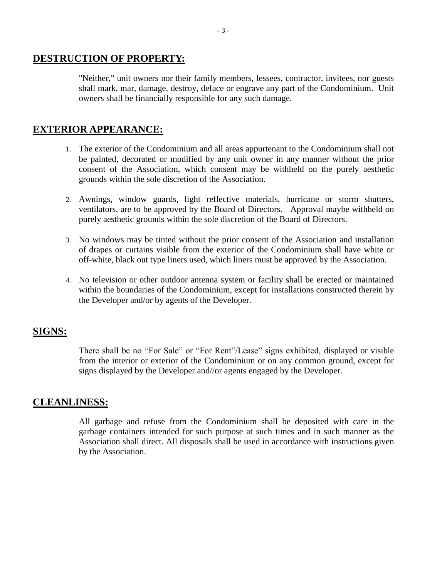#### **DESTRUCTION OF PROPERTY:**

"Neither," unit owners nor their family members, lessees, contractor, invitees, nor guests shall mark, mar, damage, destroy, deface or engrave any part of the Condominium. Unit owners shall be financially responsible for any such damage.

#### **EXTERIOR APPEARANCE:**

- 1. The exterior of the Condominium and all areas appurtenant to the Condominium shall not be painted, decorated or modified by any unit owner in any manner without the prior consent of the Association, which consent may be withheld on the purely aesthetic grounds within the sole discretion of the Association.
- 2. Awnings, window guards, light reflective materials, hurricane or storm shutters, ventilators, are to be approved by the Board of Directors. Approval maybe withheld on purely aesthetic grounds within the sole discretion of the Board of Directors.
- 3. No windows may be tinted without the prior consent of the Association and installation of drapes or curtains visible from the exterior of the Condominium shall have white or off-white, black out type liners used, which liners must be approved by the Association.
- 4. No television or other outdoor antenna system or facility shall be erected or maintained within the boundaries of the Condominium, except for installations constructed therein by the Developer and/or by agents of the Developer.

#### **SIGNS:**

There shall be no "For Sale" or "For Rent"/Lease" signs exhibited, displayed or visible from the interior or exterior of the Condominium or on any common ground, except for signs displayed by the Developer and//or agents engaged by the Developer.

# **CLEANLINESS:**

All garbage and refuse from the Condominium shall be deposited with care in the garbage containers intended for such purpose at such times and in such manner as the Association shall direct. All disposals shall be used in accordance with instructions given by the Association.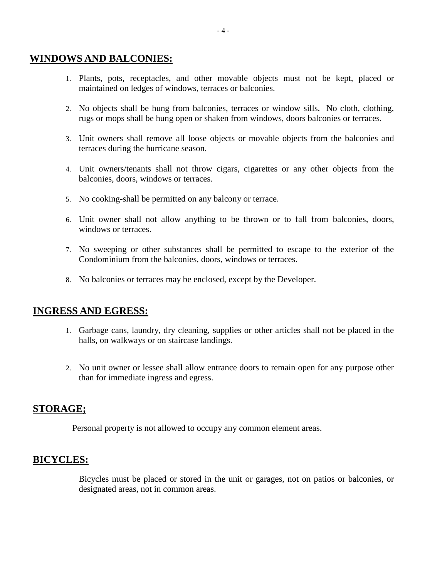#### **WINDOWS AND BALCONIES:**

- 1. Plants, pots, receptacles, and other movable objects must not be kept, placed or maintained on ledges of windows, terraces or balconies.
- 2. No objects shall be hung from balconies, terraces or window sills. No cloth, clothing, rugs or mops shall be hung open or shaken from windows, doors balconies or terraces.
- 3. Unit owners shall remove all loose objects or movable objects from the balconies and terraces during the hurricane season.
- 4. Unit owners/tenants shall not throw cigars, cigarettes or any other objects from the balconies, doors, windows or terraces.
- 5. No cooking-shall be permitted on any balcony or terrace.
- 6. Unit owner shall not allow anything to be thrown or to fall from balconies, doors, windows or terraces.
- 7. No sweeping or other substances shall be permitted to escape to the exterior of the Condominium from the balconies, doors, windows or terraces.
- 8. No balconies or terraces may be enclosed, except by the Developer.

### **INGRESS AND EGRESS:**

- 1. Garbage cans, laundry, dry cleaning, supplies or other articles shall not be placed in the halls, on walkways or on staircase landings.
- 2. No unit owner or lessee shall allow entrance doors to remain open for any purpose other than for immediate ingress and egress.

# **STORAGE;**

Personal property is not allowed to occupy any common element areas.

### **BICYCLES:**

Bicycles must be placed or stored in the unit or garages, not on patios or balconies, or designated areas, not in common areas.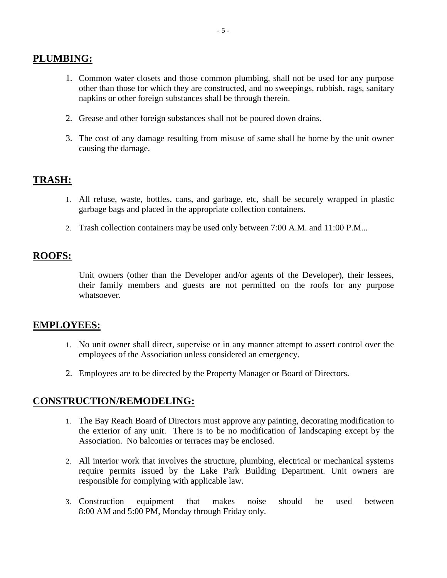# **PLUMBING:**

- 1. Common water closets and those common plumbing, shall not be used for any purpose other than those for which they are constructed, and no sweepings, rubbish, rags, sanitary napkins or other foreign substances shall be through therein.
- 2. Grease and other foreign substances shall not be poured down drains.
- 3. The cost of any damage resulting from misuse of same shall be borne by the unit owner causing the damage.

# **TRASH:**

- 1. All refuse, waste, bottles, cans, and garbage, etc, shall be securely wrapped in plastic garbage bags and placed in the appropriate collection containers.
- 2. Trash collection containers may be used only between 7:00 A.M. and 11:00 P.M...

# **ROOFS:**

Unit owners (other than the Developer and/or agents of the Developer), their lessees, their family members and guests are not permitted on the roofs for any purpose whatsoever.

### **EMPLOYEES:**

- 1. No unit owner shall direct, supervise or in any manner attempt to assert control over the employees of the Association unless considered an emergency.
- 2. Employees are to be directed by the Property Manager or Board of Directors.

### **CONSTRUCTION/REMODELING:**

- 1. The Bay Reach Board of Directors must approve any painting, decorating modification to the exterior of any unit. There is to be no modification of landscaping except by the Association. No balconies or terraces may be enclosed.
- 2. All interior work that involves the structure, plumbing, electrical or mechanical systems require permits issued by the Lake Park Building Department. Unit owners are responsible for complying with applicable law.
- 3. Construction equipment that makes noise should be used between 8:00 AM and 5:00 PM, Monday through Friday only.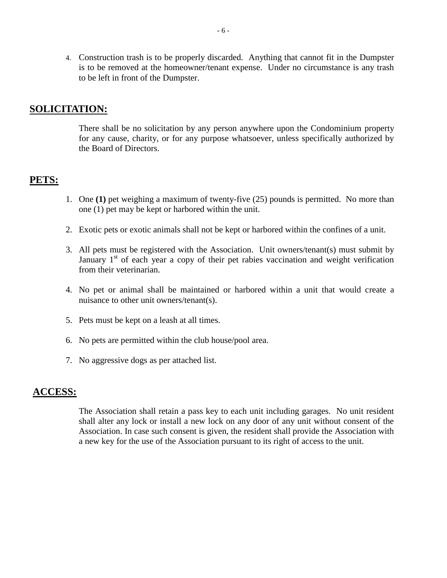4. Construction trash is to be properly discarded. Anything that cannot fit in the Dumpster is to be removed at the homeowner/tenant expense. Under no circumstance is any trash to be left in front of the Dumpster.

### **SOLICITATION:**

There shall be no solicitation by any person anywhere upon the Condominium property for any cause, charity, or for any purpose whatsoever, unless specifically authorized by the Board of Directors.

# **PETS:**

- 1. One **(1)** pet weighing a maximum of twenty-five (25) pounds is permitted. No more than one (1) pet may be kept or harbored within the unit.
- 2. Exotic pets or exotic animals shall not be kept or harbored within the confines of a unit.
- 3. All pets must be registered with the Association. Unit owners/tenant(s) must submit by January  $1<sup>st</sup>$  of each year a copy of their pet rabies vaccination and weight verification from their veterinarian.
- 4. No pet or animal shall be maintained or harbored within a unit that would create a nuisance to other unit owners/tenant(s).
- 5. Pets must be kept on a leash at all times.
- 6. No pets are permitted within the club house/pool area.
- 7. No aggressive dogs as per attached list.

#### **ACCESS:**

The Association shall retain a pass key to each unit including garages. No unit resident shall alter any lock or install a new lock on any door of any unit without consent of the Association. In case such consent is given, the resident shall provide the Association with a new key for the use of the Association pursuant to its right of access to the unit.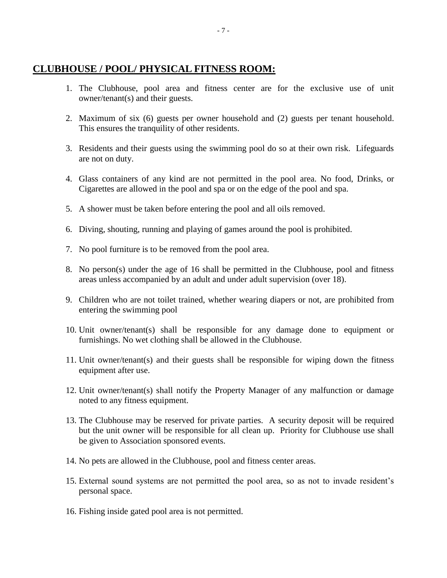# **CLUBHOUSE / POOL/ PHYSICAL FITNESS ROOM:**

- 1. The Clubhouse, pool area and fitness center are for the exclusive use of unit owner/tenant(s) and their guests.
- 2. Maximum of six (6) guests per owner household and (2) guests per tenant household. This ensures the tranquility of other residents.
- 3. Residents and their guests using the swimming pool do so at their own risk. Lifeguards are not on duty.
- 4. Glass containers of any kind are not permitted in the pool area. No food, Drinks, or Cigarettes are allowed in the pool and spa or on the edge of the pool and spa.
- 5. A shower must be taken before entering the pool and all oils removed.
- 6. Diving, shouting, running and playing of games around the pool is prohibited.
- 7. No pool furniture is to be removed from the pool area.
- 8. No person(s) under the age of 16 shall be permitted in the Clubhouse, pool and fitness areas unless accompanied by an adult and under adult supervision (over 18).
- 9. Children who are not toilet trained, whether wearing diapers or not, are prohibited from entering the swimming pool
- 10. Unit owner/tenant(s) shall be responsible for any damage done to equipment or furnishings. No wet clothing shall be allowed in the Clubhouse.
- 11. Unit owner/tenant(s) and their guests shall be responsible for wiping down the fitness equipment after use.
- 12. Unit owner/tenant(s) shall notify the Property Manager of any malfunction or damage noted to any fitness equipment.
- 13. The Clubhouse may be reserved for private parties. A security deposit will be required but the unit owner will be responsible for all clean up. Priority for Clubhouse use shall be given to Association sponsored events.
- 14. No pets are allowed in the Clubhouse, pool and fitness center areas.
- 15. External sound systems are not permitted the pool area, so as not to invade resident's personal space.
- 16. Fishing inside gated pool area is not permitted.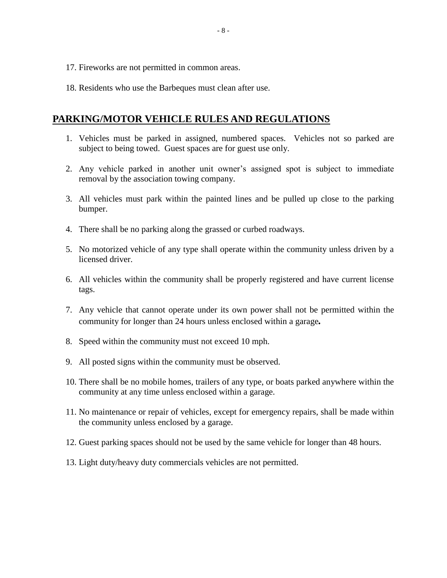- 17. Fireworks are not permitted in common areas.
- 18. Residents who use the Barbeques must clean after use.

# **PARKING/MOTOR VEHICLE RULES AND REGULATIONS**

- 1. Vehicles must be parked in assigned, numbered spaces. Vehicles not so parked are subject to being towed. Guest spaces are for guest use only.
- 2. Any vehicle parked in another unit owner's assigned spot is subject to immediate removal by the association towing company.
- 3. All vehicles must park within the painted lines and be pulled up close to the parking bumper.
- 4. There shall be no parking along the grassed or curbed roadways.
- 5. No motorized vehicle of any type shall operate within the community unless driven by a licensed driver.
- 6. All vehicles within the community shall be properly registered and have current license tags.
- 7. Any vehicle that cannot operate under its own power shall not be permitted within the community for longer than 24 hours unless enclosed within a garage*.*
- 8. Speed within the community must not exceed 10 mph.
- 9. All posted signs within the community must be observed.
- 10. There shall be no mobile homes, trailers of any type, or boats parked anywhere within the community at any time unless enclosed within a garage.
- 11. No maintenance or repair of vehicles, except for emergency repairs, shall be made within the community unless enclosed by a garage.
- 12. Guest parking spaces should not be used by the same vehicle for longer than 48 hours.
- 13. Light duty/heavy duty commercials vehicles are not permitted.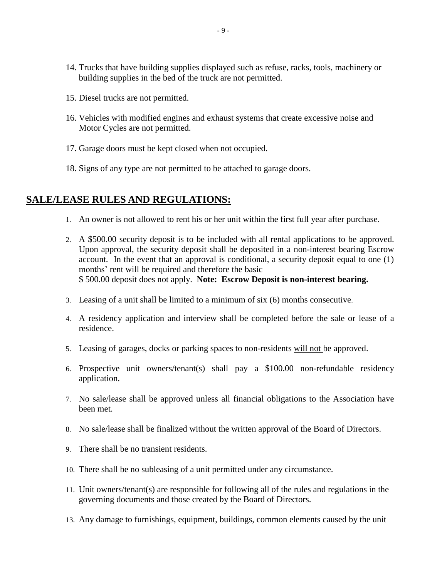- 14. Trucks that have building supplies displayed such as refuse, racks, tools, machinery or building supplies in the bed of the truck are not permitted.
- 15. Diesel trucks are not permitted.
- 16. Vehicles with modified engines and exhaust systems that create excessive noise and Motor Cycles are not permitted.
- 17. Garage doors must be kept closed when not occupied.
- 18. Signs of any type are not permitted to be attached to garage doors.

# **SALE/LEASE RULES AND REGULATIONS:**

- 1. An owner is not allowed to rent his or her unit within the first full year after purchase.
- 2. A \$500.00 security deposit is to be included with all rental applications to be approved. Upon approval, the security deposit shall be deposited in a non-interest bearing Escrow account. In the event that an approval is conditional, a security deposit equal to one (1) months' rent will be required and therefore the basic \$ 500.00 deposit does not apply. **Note: Escrow Deposit is non-interest bearing.**
- 3. Leasing of a unit shall be limited to a minimum of six (6) months consecutive.
- 4. A residency application and interview shall be completed before the sale or lease of a residence.
- 5. Leasing of garages, docks or parking spaces to non-residents will not be approved.
- 6. Prospective unit owners/tenant(s) shall pay a \$100.00 non-refundable residency application.
- 7. No sale/lease shall be approved unless all financial obligations to the Association have been met.
- 8. No sale/lease shall be finalized without the written approval of the Board of Directors.
- 9. There shall be no transient residents.
- 10. There shall be no subleasing of a unit permitted under any circumstance.
- 11. Unit owners/tenant(s) are responsible for following all of the rules and regulations in the governing documents and those created by the Board of Directors.
- 13. Any damage to furnishings, equipment, buildings, common elements caused by the unit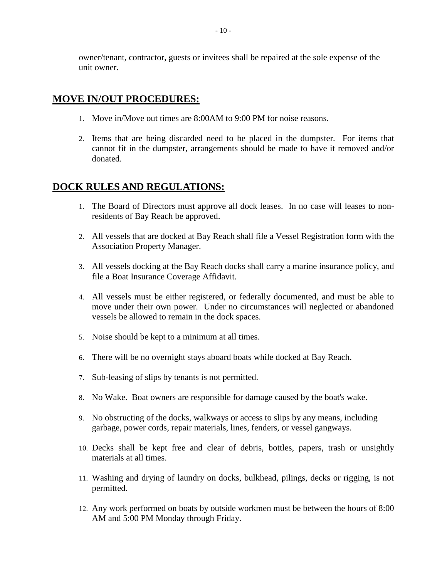owner/tenant, contractor, guests or invitees shall be repaired at the sole expense of the unit owner.

# **MOVE IN/OUT PROCEDURES:**

- 1. Move in/Move out times are 8:00AM to 9:00 PM for noise reasons.
- 2. Items that are being discarded need to be placed in the dumpster. For items that cannot fit in the dumpster, arrangements should be made to have it removed and/or donated.

# **DOCK RULES AND REGULATIONS:**

- 1. The Board of Directors must approve all dock leases. In no case will leases to nonresidents of Bay Reach be approved.
- 2. All vessels that are docked at Bay Reach shall file a Vessel Registration form with the Association Property Manager.
- 3. All vessels docking at the Bay Reach docks shall carry a marine insurance policy, and file a Boat Insurance Coverage Affidavit.
- 4. All vessels must be either registered, or federally documented, and must be able to move under their own power. Under no circumstances will neglected or abandoned vessels be allowed to remain in the dock spaces.
- 5. Noise should be kept to a minimum at all times.
- 6. There will be no overnight stays aboard boats while docked at Bay Reach.
- 7. Sub-leasing of slips by tenants is not permitted.
- 8. No Wake. Boat owners are responsible for damage caused by the boat's wake.
- 9. No obstructing of the docks, walkways or access to slips by any means, including garbage, power cords, repair materials, lines, fenders, or vessel gangways.
- 10. Decks shall be kept free and clear of debris, bottles, papers, trash or unsightly materials at all times.
- 11. Washing and drying of laundry on docks, bulkhead, pilings, decks or rigging, is not permitted.
- 12. Any work performed on boats by outside workmen must be between the hours of 8:00 AM and 5:00 PM Monday through Friday.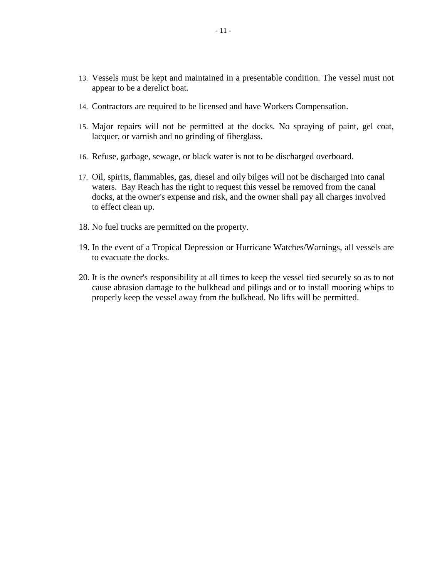- 13. Vessels must be kept and maintained in a presentable condition. The vessel must not appear to be a derelict boat.
- 14. Contractors are required to be licensed and have Workers Compensation.
- 15. Major repairs will not be permitted at the docks. No spraying of paint, gel coat, lacquer, or varnish and no grinding of fiberglass.
- 16. Refuse, garbage, sewage, or black water is not to be discharged overboard.
- 17. Oil, spirits, flammables, gas, diesel and oily bilges will not be discharged into canal waters. Bay Reach has the right to request this vessel be removed from the canal docks, at the owner's expense and risk, and the owner shall pay all charges involved to effect clean up.
- 18. No fuel trucks are permitted on the property.
- 19. In the event of a Tropical Depression or Hurricane Watches/Warnings, all vessels are to evacuate the docks.
- 20. It is the owner's responsibility at all times to keep the vessel tied securely so as to not cause abrasion damage to the bulkhead and pilings and or to install mooring whips to properly keep the vessel away from the bulkhead. No lifts will be permitted.